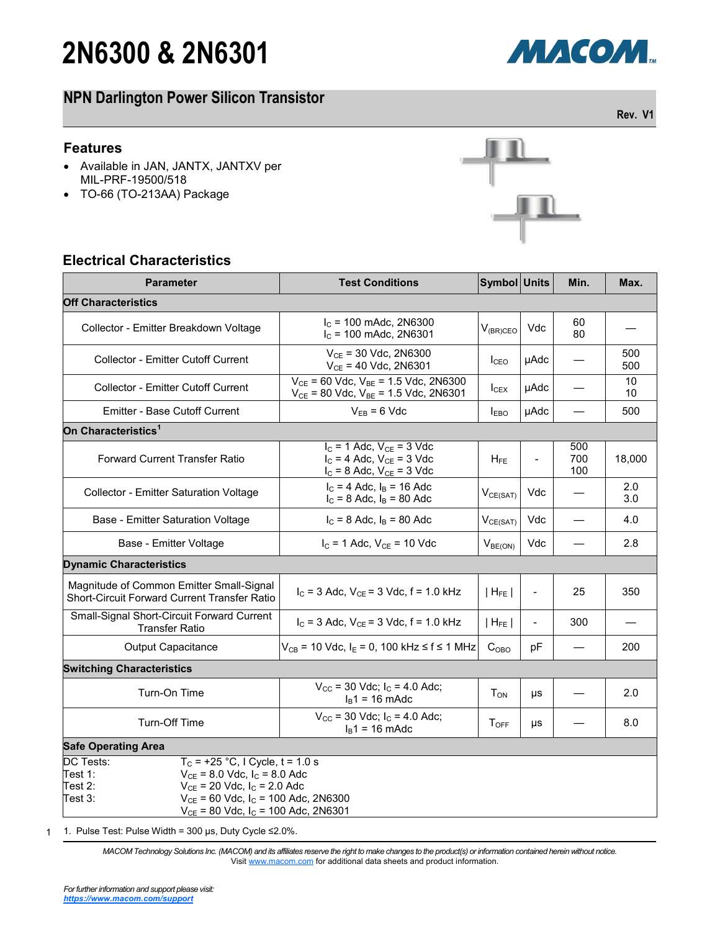# **2N6300 & 2N6301**

# **NPN Darlington Power Silicon Transistor**

### **Features**

- Available in JAN, JANTX, JANTXV per MIL-PRF-19500/518
- TO-66 (TO-213AA) Package

### **Electrical Characteristics**

| <b>Parameter</b>                                                                                                                                                                                                                                           | <b>Test Conditions</b>                                                                                | Symbol Units           |                          | Min.              | Max.       |  |  |  |
|------------------------------------------------------------------------------------------------------------------------------------------------------------------------------------------------------------------------------------------------------------|-------------------------------------------------------------------------------------------------------|------------------------|--------------------------|-------------------|------------|--|--|--|
| <b>Off Characteristics</b>                                                                                                                                                                                                                                 |                                                                                                       |                        |                          |                   |            |  |  |  |
| Collector - Emitter Breakdown Voltage                                                                                                                                                                                                                      | $I_c$ = 100 mAdc, 2N6300<br>$I_c$ = 100 mAdc, 2N6301                                                  | $V_{(BR)CEO}$          | Vdc                      | 60<br>80          |            |  |  |  |
| <b>Collector - Emitter Cutoff Current</b>                                                                                                                                                                                                                  | $V_{CE}$ = 30 Vdc, 2N6300<br>$V_{CE}$ = 40 Vdc, 2N6301                                                | I <sub>CEO</sub>       | µAdc                     |                   | 500<br>500 |  |  |  |
| Collector - Emitter Cutoff Current                                                                                                                                                                                                                         | $V_{CE}$ = 60 Vdc, $V_{BE}$ = 1.5 Vdc, 2N6300<br>$V_{CE}$ = 80 Vdc, $V_{BE}$ = 1.5 Vdc, 2N6301        | $I_{CEX}$              | µAdc                     |                   | 10<br>10   |  |  |  |
| <b>Emitter - Base Cutoff Current</b>                                                                                                                                                                                                                       | $V_{EB} = 6$ Vdc                                                                                      | I <sub>EBO</sub>       | µAdc                     |                   | 500        |  |  |  |
| On Characteristics <sup>1</sup>                                                                                                                                                                                                                            |                                                                                                       |                        |                          |                   |            |  |  |  |
| <b>Forward Current Transfer Ratio</b>                                                                                                                                                                                                                      | $I_C = 1$ Adc, $V_{CE} = 3$ Vdc<br>$I_C = 4$ Adc, $V_{CE} = 3$ Vdc<br>$I_C = 8$ Adc, $V_{CE} = 3$ Vdc | $H_{FE}$               | $\overline{\phantom{a}}$ | 500<br>700<br>100 | 18,000     |  |  |  |
| Collector - Emitter Saturation Voltage                                                                                                                                                                                                                     | $I_C = 4$ Adc, $I_B = 16$ Adc<br>$I_C = 8$ Adc, $I_B = 80$ Adc                                        | $V_{CE(SAT)}$          | Vdc                      |                   | 2.0<br>3.0 |  |  |  |
| Base - Emitter Saturation Voltage                                                                                                                                                                                                                          | $I_C = 8$ Adc, $I_B = 80$ Adc                                                                         | $V_{CE(SAT)}$          | Vdc                      |                   | 4.0        |  |  |  |
| Base - Emitter Voltage                                                                                                                                                                                                                                     | $I_C = 1$ Adc, $V_{CE} = 10$ Vdc                                                                      | V <sub>BE(ON)</sub>    | Vdc                      |                   | 2.8        |  |  |  |
| <b>Dynamic Characteristics</b>                                                                                                                                                                                                                             |                                                                                                       |                        |                          |                   |            |  |  |  |
| Magnitude of Common Emitter Small-Signal<br>Short-Circuit Forward Current Transfer Ratio                                                                                                                                                                   | $I_C$ = 3 Adc, $V_{CE}$ = 3 Vdc, f = 1.0 kHz                                                          | $ H_{FE} $             | $\overline{\phantom{a}}$ | 25                | 350        |  |  |  |
| Small-Signal Short-Circuit Forward Current<br><b>Transfer Ratio</b>                                                                                                                                                                                        | $I_C = 3$ Adc, $V_{CE} = 3$ Vdc, f = 1.0 kHz                                                          | $ H_{FE} $             |                          | 300               |            |  |  |  |
| <b>Output Capacitance</b>                                                                                                                                                                                                                                  | $V_{CB}$ = 10 Vdc, I <sub>E</sub> = 0, 100 kHz ≤ f ≤ 1 MHz                                            | $C_{OBO}$              | рF                       |                   | 200        |  |  |  |
| <b>Switching Characteristics</b>                                                                                                                                                                                                                           |                                                                                                       |                        |                          |                   |            |  |  |  |
| Turn-On Time                                                                                                                                                                                                                                               | $V_{\text{CC}}$ = 30 Vdc; $I_{\text{C}}$ = 4.0 Adc;<br>$I_B$ 1 = 16 mAdc                              | <b>T</b> <sub>ON</sub> | μs                       |                   | 2.0        |  |  |  |
| Turn-Off Time                                                                                                                                                                                                                                              | $V_{\text{CC}}$ = 30 Vdc; $I_{\text{C}}$ = 4.0 Adc;<br>$I_B$ 1 = 16 mAdc                              | $T_{OFF}$              | μs                       |                   | 8.0        |  |  |  |
| <b>Safe Operating Area</b>                                                                                                                                                                                                                                 |                                                                                                       |                        |                          |                   |            |  |  |  |
| $T_c = +25 °C$ , I Cycle, t = 1.0 s<br>DC Tests:<br>Test 1:<br>$V_{CE}$ = 8.0 Vdc, $I_C$ = 8.0 Adc<br>Test 2:<br>$V_{CE}$ = 20 Vdc, $I_C$ = 2.0 Adc<br>Test 3:<br>$V_{CE}$ = 60 Vdc, $I_C$ = 100 Adc, 2N6300<br>$V_{CE}$ = 80 Vdc, $I_C$ = 100 Adc, 2N6301 |                                                                                                       |                        |                          |                   |            |  |  |  |

1 1. Pulse Test: Pulse Width = 300 μs, Duty Cycle ≤2.0%.

> *MACOM Technology Solutions Inc. (MACOM) and its affiliates reserve the right to make changes to the product(s) or information contained herein without notice.*  Visit [www.macom.com](http://www.macom.com/) for additional data sheets and product information.





**Rev. V1**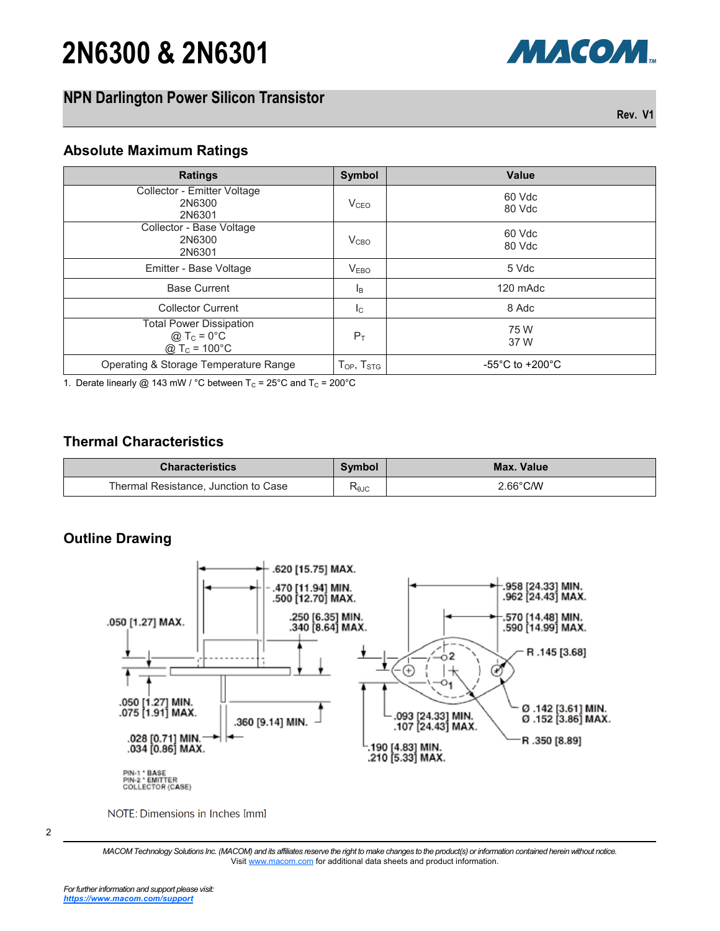# **2N6300 & 2N6301**

# **NPN Darlington Power Silicon Transistor**

**Rev. V1**

МАСОМ.

### **Absolute Maximum Ratings**

| <b>Ratings</b>                                                          | Symbol                                                   | <b>Value</b>                          |
|-------------------------------------------------------------------------|----------------------------------------------------------|---------------------------------------|
| Collector - Emitter Voltage<br>2N6300<br>2N6301                         | V <sub>CEO</sub>                                         | 60 Vdc<br>80 Vdc                      |
| Collector - Base Voltage<br>2N6300<br>2N6301                            | V <sub>CBO</sub>                                         | 60 Vdc<br>80 Vdc                      |
| Emitter - Base Voltage                                                  | V <sub>EBO</sub>                                         | 5 Vdc                                 |
| <b>Base Current</b>                                                     | ΙB                                                       | 120 mAdc                              |
| <b>Collector Current</b>                                                | $I_{\rm C}$                                              | 8 Adc                                 |
| <b>Total Power Dissipation</b><br>$@TC = 0°C$<br>@ $T_c = 100^{\circ}C$ | $P_T$                                                    | 75 W<br>37 W                          |
| Operating & Storage Temperature Range                                   | ${\mathsf T}_{\mathsf{OP}},\,{\mathsf T}_{\mathsf{STG}}$ | -55 $^{\circ}$ C to +200 $^{\circ}$ C |

1. Derate linearly @ 143 mW / °C between  $T_c = 25$ °C and  $T_c = 200$ °C

### **Thermal Characteristics**

| <b>Characteristics</b>               | Symbol | Max. Value |
|--------------------------------------|--------|------------|
| Thermal Resistance, Junction to Case | KθJC   | 2.66°C/W   |

### **Outline Drawing**



NOTE: Dimensions in Inches [mm]

*MACOM Technology Solutions Inc. (MACOM) and its affiliates reserve the right to make changes to the product(s) or information contained herein without notice.*  Visit [www.macom.com](http://www.macom.com/) for additional data sheets and product information.

<sup>2</sup>